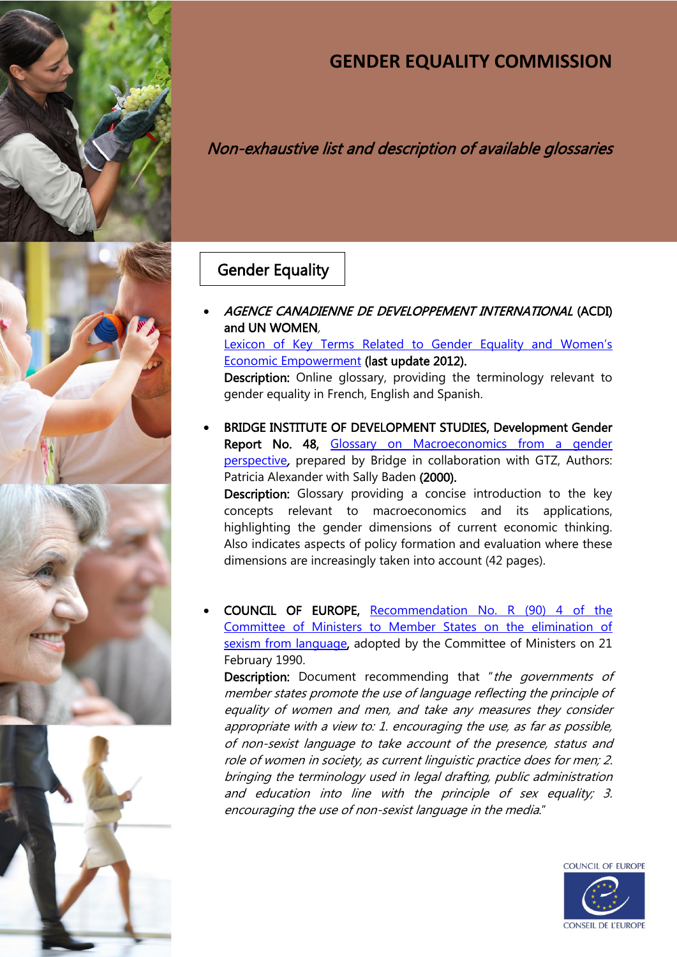





# **GENDER EQUALITY COMMISSION**

# Non-exhaustive list and description of available glossaries

## Gender Equality

 AGENCE CANADIENNE DE DEVELOPPEMENT INTERNATIONAL (ACDI) and UN WOMEN, [Lexicon of Key Terms Related to Gender Equality and Women's](http://www.acdi-cida.gc.ca/acdi-cida/ACDI-CIDA.nsf/eng/CAR-121913336-P7B) 

[Economic Empowerment](http://www.acdi-cida.gc.ca/acdi-cida/ACDI-CIDA.nsf/eng/CAR-121913336-P7B) (last update 2012).

Description: Online glossary, providing the terminology relevant to gender equality in French, English and Spanish.

 BRIDGE INSTITUTE OF DEVELOPMENT STUDIES, Development Gender Report No. 48, Glossary on Macroeconomics from a gender [perspective](http://www.iiav.nl/epublications/2000/glossary_on_macroeconomics.pdf), prepared by Bridge in collaboration with GTZ, Authors: Patricia Alexander with Sally Baden (2000). Description: Glossary providing a concise introduction to the key concepts relevant to macroeconomics and its applications, highlighting the gender dimensions of current economic thinking.

Also indicates aspects of policy formation and evaluation where these dimensions are increasingly taken into account (42 pages).

 COUNCIL OF EUROPE, [Recommendation No. R \(90\) 4 of the](https://wcd.coe.int/com.instranet.InstraServlet?command=com.instranet.CmdBlobGet&InstranetImage=1234348&SecMode=1&DocId=590474&Usage=2)  [Committee of Ministers to Member States on the elimination of](https://wcd.coe.int/com.instranet.InstraServlet?command=com.instranet.CmdBlobGet&InstranetImage=1234348&SecMode=1&DocId=590474&Usage=2)  [sexism from language,](https://wcd.coe.int/com.instranet.InstraServlet?command=com.instranet.CmdBlobGet&InstranetImage=1234348&SecMode=1&DocId=590474&Usage=2) adopted by the Committee of Ministers on 21 February 1990.

Description: Document recommending that "the governments of member states promote the use of language reflecting the principle of equality of women and men, and take any measures they consider appropriate with a view to: 1. encouraging the use, as far as possible, of non-sexist language to take account of the presence, status and role of women in society, as current linguistic practice does for men; 2. bringing the terminology used in legal drafting, public administration and education into line with the principle of sex equality; 3. encouraging the use of non-sexist language in the media."

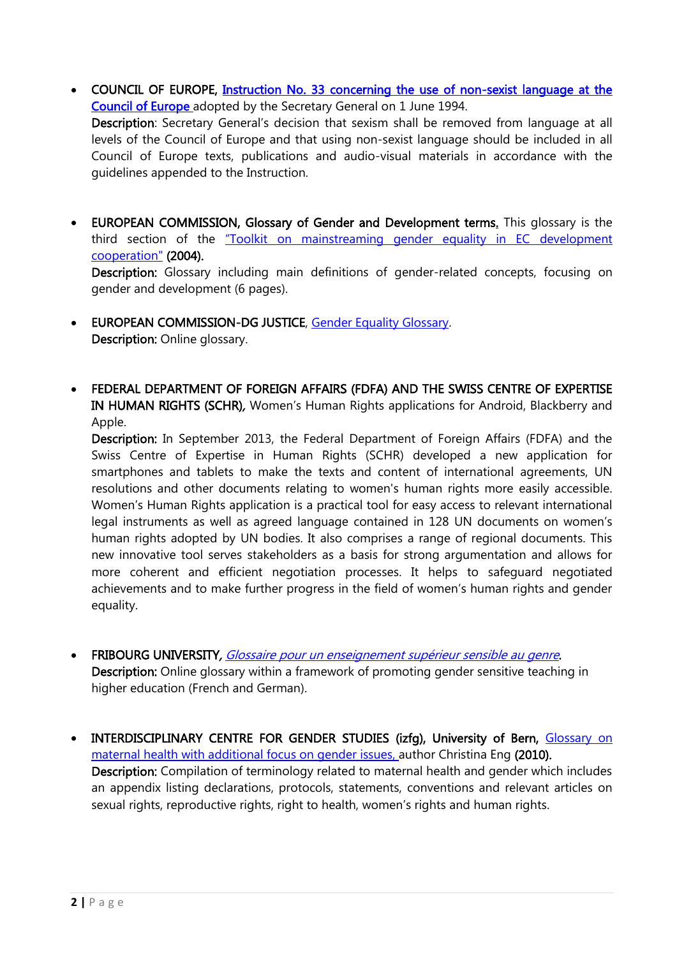• COUNCIL OF EUROPE, Instruction No. 33 concerning the use of non-sexist language at the [Council of Europe](https://wcd.coe.int/ViewDoc.jsp?Ref=SG/INST(1994)33&Language=lanEnglish&Ver=original&Site=DGAL-Handbook&BackColorInternet=bebdc5&BackColorIntranet=bebdc5&BackColorLogged=FFC679) adopted by the Secretary General on 1 June 1994. Description: Secretary General's decision that sexism shall be removed from language at all

levels of the Council of Europe and that using non-sexist language should be included in all Council of Europe texts, publications and audio-visual materials in accordance with the guidelines appended to the Instruction.

• EUROPEAN COMMISSION, Glossary of Gender and Development terms. This glossary is the third section of the ["Toolkit on mainstreaming gender equality in EC development](http://eige.europa.eu/sites/default/files/documents/Toolkit%20-%20Marina%20Marchetti.pdf)  [cooperation"](http://eige.europa.eu/sites/default/files/documents/Toolkit%20-%20Marina%20Marchetti.pdf) (2004).

Description: Glossary including main definitions of gender-related concepts, focusing on gender and development (6 pages).

- EUROPEAN COMMISSION-DG JUSTICE, [Gender Equality Glossary](http://ec.europa.eu/justice/gender-equality/glossary/index_en.htm). Description: Online glossary.
- FEDERAL DEPARTMENT OF FOREIGN AFFAIRS (FDFA) AND THE SWISS CENTRE OF EXPERTISE IN HUMAN RIGHTS (SCHR), Women's Human Rights applications for Android, Blackberry and Apple.

Description: In September 2013, the Federal Department of Foreign Affairs (FDFA) and the Swiss Centre of Expertise in Human Rights (SCHR) developed a new application for smartphones and tablets to make the texts and content of international agreements, UN resolutions and other documents relating to women's human rights more easily accessible. Women's Human Rights application is a practical tool for easy access to relevant international legal instruments as well as agreed language contained in 128 UN documents on women's human rights adopted by UN bodies. It also comprises a range of regional documents. This new innovative tool serves stakeholders as a basis for strong argumentation and allows for more coherent and efficient negotiation processes. It helps to safeguard negotiated achievements and to make further progress in the field of women's human rights and gender equality.

- FRIBOURG UNIVERSITY, [Glossaire pour un enseignement supérieur sensible au genre](http://elearning.unifr.ch/equal/fr/glossaire). Description: Online glossary within a framework of promoting gender sensitive teaching in higher education (French and German).
- INTERDISCIPLINARY CENTRE FOR GENDER STUDIES (izfg), University of Bern, Glossary on [maternal health with additional focus on gender issues,](http://www.izfg.unibe.ch/unibe/rektorat/izfg/content/e3785/e4677/e4734/GlossarMaternalHealthupdated_ger.pdf) author Christina Eng (2010). Description: Compilation of terminology related to maternal health and gender which includes an appendix listing declarations, protocols, statements, conventions and relevant articles on sexual rights, reproductive rights, right to health, women's rights and human rights.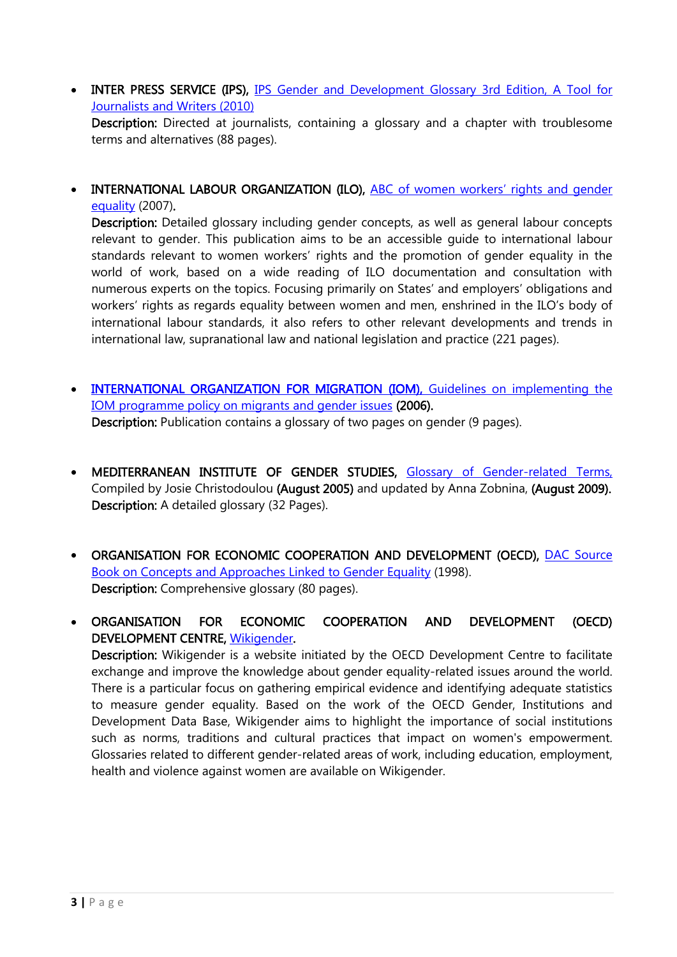• INTER PRESS SERVICE (IPS), IPS Gender and Development Glossary 3rd Edition, A Tool for [Journalists and Writers \(2010\)](http://www.endvawnow.org/uploads/browser/files/gender-devtglossary_ips_2010_en.pdf) 

Description: Directed at journalists, containing a glossary and a chapter with troublesome terms and alternatives (88 pages).

 INTERNATIONAL LABOUR ORGANIZATION (ILO), [ABC of women workers' rights and gender](http://www.ilo.org/wcmsp5/groups/public/---dgreports/---gender/documents/publication/wcms_087314.pdf)  [equality](http://www.ilo.org/wcmsp5/groups/public/---dgreports/---gender/documents/publication/wcms_087314.pdf) (2007).

Description: Detailed glossary including gender concepts, as well as general labour concepts relevant to gender. This publication aims to be an accessible guide to international labour standards relevant to women workers' rights and the promotion of gender equality in the world of work, based on a wide reading of ILO documentation and consultation with numerous experts on the topics. Focusing primarily on States' and employers' obligations and workers' rights as regards equality between women and men, enshrined in the ILO's body of international labour standards, it also refers to other relevant developments and trends in international law, supranational law and national legislation and practice (221 pages).

- [INTERNATIONAL ORGANIZATION FOR MIGRATION \(IOM\), Guidelines on implementing the](http://www.un.org/womenwatch/ianwge/repository/IOM_Guidelines_on_implementing_the_IOM_programme_policy_on_migrants_and_gender.pdf)  [IOM programme policy on migrants and gender issues](http://www.un.org/womenwatch/ianwge/repository/IOM_Guidelines_on_implementing_the_IOM_programme_policy_on_migrants_and_gender.pdf) (2006). Description: Publication contains a glossary of two pages on gender (9 pages).
- MEDITERRANEAN INSTITUTE OF GENDER STUDIES, [Glossary of Gender-related Terms,](http://www.peacewomen.org/assets/file/AdvocacyEducationTools/genderglossary_migs_aug2005.pdf)  Compiled by Josie Christodoulou (August 2005) and updated by Anna Zobnina, (August 2009). Description: A detailed glossary (32 Pages).
- ORGANISATION FOR ECONOMIC COOPERATION AND DEVELOPMENT (OECD), [DAC Source](http://www.oecd.org/social/gender-development/dacsourcebookonconceptsandapproacheslinkedtogenderequality.htm)  [Book on Concepts and Approaches Linked to Gender Equality](http://www.oecd.org/social/gender-development/dacsourcebookonconceptsandapproacheslinkedtogenderequality.htm) (1998). Description: Comprehensive glossary (80 pages).

 ORGANISATION FOR ECONOMIC COOPERATION AND DEVELOPMENT (OECD) DEVELOPMENT CENTRE, [Wikigender.](http://www.wikigender.org/index.php/New_Home) Description: Wikigender is a website initiated by the [OECD Development Centre](http://www.wikigender.org/index.php/OECD_Development_Centre) to facilitate exchange and improve the knowledge about gender equality-related issues around the world. There is a particular focus on gathering empirical evidence and identifying adequate statistics to measure [gender equality.](http://www.wikigender.org/index.php/Gender_Equality) Based on the work of the OECD [Gender, Institutions and](http://www.wikigender.org/index.php/Gender,_Institutions_and_Development_Data_Base)  [Development Data Base,](http://www.wikigender.org/index.php/Gender,_Institutions_and_Development_Data_Base) Wikigender aims to highlight the importance of [social institutions](http://www.wikigender.org/index.php?title=Social_institutions&action=edit&redlink=1) such as norms, traditions and cultural practices that impact on women's empowerment. Glossaries related to different gender-related areas of work, including education, employment,

health and violence against women are available on Wikigender.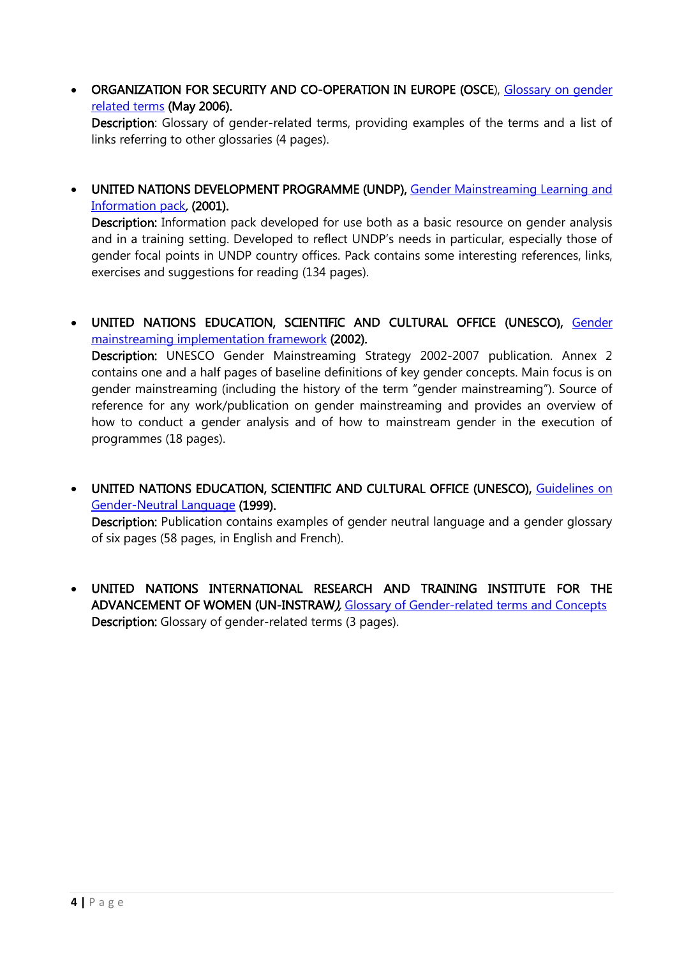• ORGANIZATION FOR SECURITY AND CO-OPERATION IN EUROPE (OSCE), Glossary on gender [related terms](http://www.osce.org/gender/26397?download=true) (May 2006).

Description: Glossary of gender-related terms, providing examples of the terms and a list of links referring to other glossaries (4 pages).

 UNITED NATIONS DEVELOPMENT PROGRAMME (UNDP), [Gender Mainstreaming Learning and](http://www.undp.org/content/dam/undp/library/gender/Institutional%20Development/TLGEN1.6%20UNDP%20GenderAnalysis%20toolkit.pdf)  [Information pack](http://www.undp.org/content/dam/undp/library/gender/Institutional%20Development/TLGEN1.6%20UNDP%20GenderAnalysis%20toolkit.pdf), (2001).

Description: Information pack developed for use both as a basic resource on gender analysis and in a training setting. Developed to reflect UNDP's needs in particular, especially those of gender focal points in UNDP country offices. Pack contains some interesting references, links, exercises and suggestions for reading (134 pages).

 UNITED NATIONS EDUCATION, SCIENTIFIC AND CULTURAL OFFICE (UNESCO), [Gender](http://portal.unesco.org/en/ev.php-URL_ID=11481&URL_DO=DO_TOPIC&URL_SECTION=201.html)  [mainstreaming implementation framework](http://portal.unesco.org/en/ev.php-URL_ID=11481&URL_DO=DO_TOPIC&URL_SECTION=201.html) (2002).

Description: UNESCO Gender Mainstreaming Strategy 2002-2007 publication. Annex 2 contains one and a half pages of baseline definitions of key gender concepts. Main focus is on gender mainstreaming (including the history of the term "gender mainstreaming"). Source of reference for any work/publication on gender mainstreaming and provides an overview of how to conduct a gender analysis and of how to mainstream gender in the execution of programmes (18 pages).

 UNITED NATIONS EDUCATION, SCIENTIFIC AND CULTURAL OFFICE (UNESCO), [Guidelines on](http://unesdoc.unesco.org/images/0011/001149/114950mo.pdf)  [Gender-Neutral Language](http://unesdoc.unesco.org/images/0011/001149/114950mo.pdf) (1999).

Description: Publication contains examples of gender neutral language and a gender glossary of six pages (58 pages, in English and French).

 UNITED NATIONS INTERNATIONAL RESEARCH AND TRAINING INSTITUTE FOR THE ADVANCEMENT OF WOMEN (UN-INSTRAW), [Glossary of Gender-related terms and Concepts](http://unamid.unmissions.org/Default.aspx?tabid=11012&language=en-US) Description: Glossary of gender-related terms (3 pages).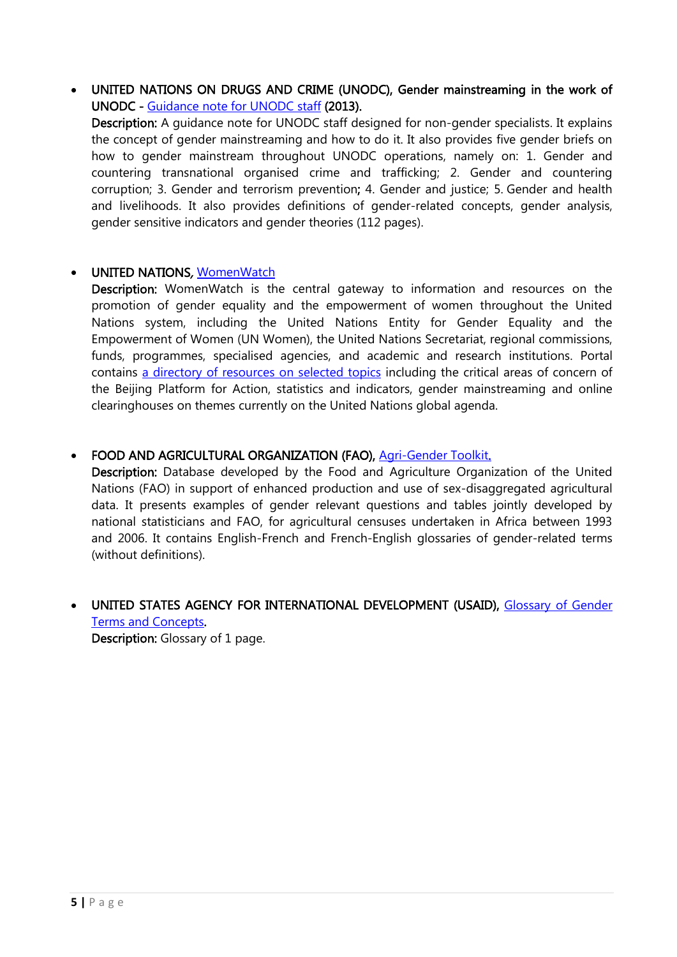UNITED NATIONS ON DRUGS AND CRIME (UNODC), Gender mainstreaming in the work of UNODC - [Guidance note for UNODC staff](http://www.un.org/womenwatch/directory/docs/UNODC-GuidanceNote-GenderMainstreaming.pdf) (2013).

Description: A guidance note for UNODC staff designed for non-gender specialists. It explains the concept of gender mainstreaming and how to do it. It also provides five gender briefs on how to gender mainstream throughout UNODC operations, namely on: 1. Gender and countering transnational organised crime and trafficking; 2. Gender and countering corruption; 3. Gender and terrorism prevention; 4. Gender and justice; 5. Gender and health and livelihoods. It also provides definitions of gender-related concepts, gender analysis, gender sensitive indicators and gender theories (112 pages).

#### UNITED NATIONS, [WomenWatch](http://www.un.org/womenwatch/)

Description: WomenWatch is the central gateway to information and resources on the promotion of gender equality and the empowerment of women throughout the United Nations system, including the United Nations Entity for Gender Equality and the Empowerment of Women (UN Women), the United Nations Secretariat, regional commissions, funds, programmes, specialised agencies, and academic and research institutions. Portal contains [a directory of resources on selected topics](http://www.un.org/womenwatch/topics/) including the [critical areas of concern of](http://www.un.org/womenwatch/directory/critical_areas_of_concern_30.htm)  [the Beijing Platform for Action,](http://www.un.org/womenwatch/directory/critical_areas_of_concern_30.htm) [statistics and indicators,](http://www.un.org/womenwatch/directory/statistics_and_indicators_60.htm) [gender mainstreaming](http://www.un.org/womenwatch/directory/gender_mainstreaming_10314.htm) and [online](http://www.un.org/womenwatch/feature/)  [clearinghouses on themes currently on the United Nations global agenda.](http://www.un.org/womenwatch/feature/)

#### FOOD AND AGRICULTURAL ORGANIZATION (FAO), [Agri-Gender Toolkit.](http://www.fao.org/gender/agrigender/agri-gender-toolkit/en/)

Description: Database developed by the Food and Agriculture Organization of the United Nations (FAO) in support of enhanced production and use of sex-disaggregated agricultural data. It presents examples of gender relevant questions and tables jointly developed by national statisticians and FAO, for agricultural censuses undertaken in Africa between 1993 and 2006. It contains English-French and French-English glossaries of gender-related terms (without definitions).

 UNITED STATES AGENCY FOR INTERNATIONAL DEVELOPMENT (USAID), [Glossary of Gender](http://www.ungei.org/infobycountry/files/Glossary_of_Gender_Terms_and_Concepts.pdf)  [Terms and Concepts.](http://www.ungei.org/infobycountry/files/Glossary_of_Gender_Terms_and_Concepts.pdf) Description: Glossary of 1 page.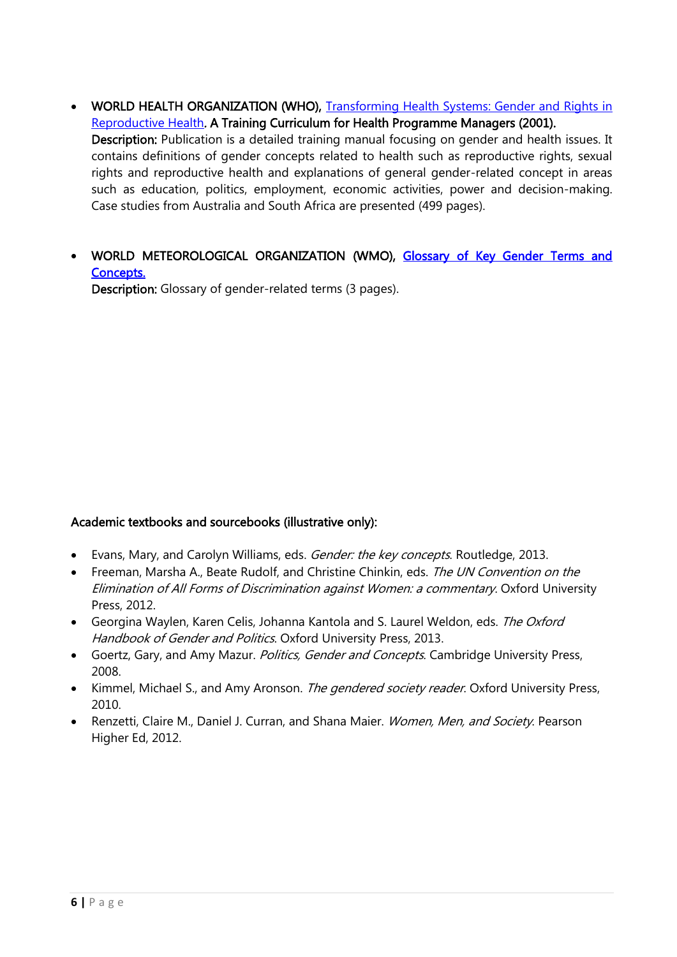- WORLD HEALTH ORGANIZATION (WHO), Transforming Health Systems: Gender and Rights in [Reproductive Health](http://whqlibdoc.who.int/hq/2001/WHO_RHR_01.29.pdf?ua=1). A Training Curriculum for Health Programme Managers (2001). Description: Publication is a detailed training manual focusing on gender and health issues. It contains definitions of gender concepts related to health such as reproductive rights, sexual rights and reproductive health and explanations of general gender-related concept in areas such as education, politics, employment, economic activities, power and decision-making. Case studies from Australia and South Africa are presented (499 pages).
- WORLD METEOROLOGICAL ORGANIZATION (WMO), Glossary of Key Gender Terms and [Concepts.](https://www.wmo.int/pages/themes/gender/documents/Glossary_gender.pdf)

Description: Glossary of gender-related terms (3 pages).

#### Academic textbooks and sourcebooks (illustrative only):

- Evans, Mary, and Carolyn Williams, eds. *Gender: the key concepts*. Routledge, 2013.
- Freeman, Marsha A., Beate Rudolf, and Christine Chinkin, eds. The UN Convention on the Elimination of All Forms of Discrimination against Women: a commentary. Oxford University Press, 2012.
- Georgina Waylen, Karen Celis, Johanna Kantola and S. Laurel Weldon, eds. The Oxford Handbook of Gender and Politics. Oxford University Press, 2013.
- Goertz, Gary, and Amy Mazur. *Politics, Gender and Concepts*. Cambridge University Press, 2008.
- Kimmel, Michael S., and Amy Aronson. *The gendered society reader*. Oxford University Press, 2010.
- Renzetti, Claire M., Daniel J. Curran, and Shana Maier. Women, Men, and Society. Pearson Higher Ed, 2012.